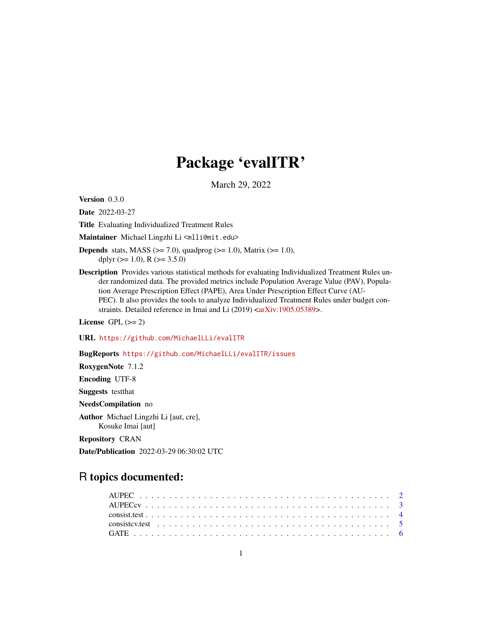## Package 'evalITR'

March 29, 2022

Version 0.3.0

Date 2022-03-27

Title Evaluating Individualized Treatment Rules

Maintainer Michael Lingzhi Li<mlli@mit.edu>

- **Depends** stats, MASS  $(>= 7.0)$ , quadprog  $(>= 1.0)$ , Matrix  $(>= 1.0)$ , dplyr  $(>= 1.0)$ , R  $(>= 3.5.0)$
- Description Provides various statistical methods for evaluating Individualized Treatment Rules under randomized data. The provided metrics include Population Average Value (PAV), Population Average Prescription Effect (PAPE), Area Under Prescription Effect Curve (AU-PEC). It also provides the tools to analyze Individualized Treatment Rules under budget con-straints. Detailed reference in Imai and Li (2019) [<arXiv:1905.05389>](https://arxiv.org/abs/1905.05389).

License GPL  $(>= 2)$ 

URL <https://github.com/MichaelLLi/evalITR>

BugReports <https://github.com/MichaelLLi/evalITR/issues>

RoxygenNote 7.1.2 Encoding UTF-8

Suggests testthat

NeedsCompilation no

Author Michael Lingzhi Li [aut, cre], Kosuke Imai [aut]

Repository CRAN

Date/Publication 2022-03-29 06:30:02 UTC

### R topics documented: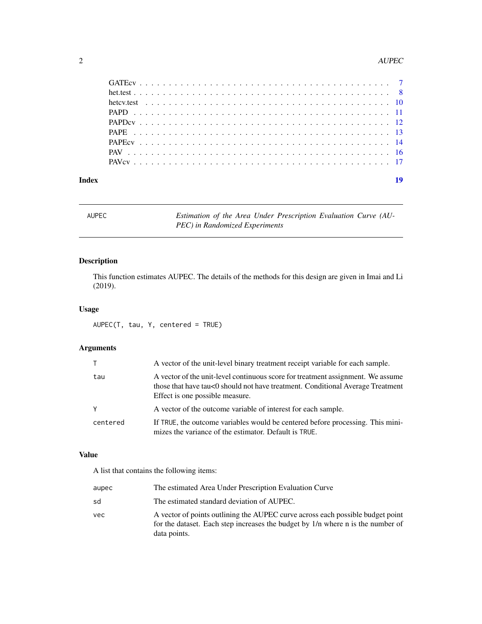#### <span id="page-1-0"></span>2 AUPEC

| Index |  |  |  |  |  |  |  |  |  |  |  |  |  |  |  |  |  |  |  |  |  |  |
|-------|--|--|--|--|--|--|--|--|--|--|--|--|--|--|--|--|--|--|--|--|--|--|

AUPEC *Estimation of the Area Under Prescription Evaluation Curve (AU-PEC) in Randomized Experiments*

#### Description

This function estimates AUPEC. The details of the methods for this design are given in Imai and Li (2019).

#### Usage

AUPEC(T, tau, Y, centered = TRUE)

#### Arguments

| T.       | A vector of the unit-level binary treatment receipt variable for each sample.                                                                                                                        |
|----------|------------------------------------------------------------------------------------------------------------------------------------------------------------------------------------------------------|
| tau      | A vector of the unit-level continuous score for treatment assignment. We assume<br>those that have tau<0 should not have treatment. Conditional Average Treatment<br>Effect is one possible measure. |
| Y        | A vector of the outcome variable of interest for each sample.                                                                                                                                        |
| centered | If TRUE, the outcome variables would be centered before processing. This mini-<br>mizes the variance of the estimator. Default is TRUE.                                                              |

#### Value

A list that contains the following items:

| aupec | The estimated Area Under Prescription Evaluation Curve                                                                                                                            |
|-------|-----------------------------------------------------------------------------------------------------------------------------------------------------------------------------------|
| sd    | The estimated standard deviation of AUPEC.                                                                                                                                        |
| vec   | A vector of points outlining the AUPEC curve across each possible budget point<br>for the dataset. Each step increases the budget by 1/n where n is the number of<br>data points. |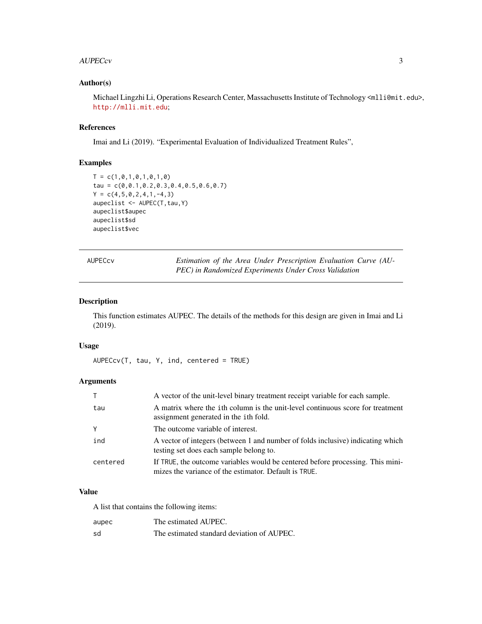#### <span id="page-2-0"></span>AUPECcv 3

#### Author(s)

Michael Lingzhi Li, Operations Research Center, Massachusetts Institute of Technology <ml1i@mit.edu>, <http://mlli.mit.edu>;

#### References

Imai and Li (2019). "Experimental Evaluation of Individualized Treatment Rules",

#### Examples

```
T = c(1, 0, 1, 0, 1, 0, 1, 0)tau = c(0,0.1,0.2,0.3,0.4,0.5,0.6,0.7)
Y = c(4, 5, 0, 2, 4, 1, -4, 3)aupeclist <- AUPEC(T, tau, Y)
aupeclist$aupec
aupeclist$sd
aupeclist$vec
```
AUPECcv *Estimation of the Area Under Prescription Evaluation Curve (AU-PEC) in Randomized Experiments Under Cross Validation*

#### Description

This function estimates AUPEC. The details of the methods for this design are given in Imai and Li (2019).

#### Usage

 $AUPECcv(T, tau, Y, ind, centered = TRUE)$ 

#### Arguments

| T.       | A vector of the unit-level binary treatment receipt variable for each sample.                                                           |
|----------|-----------------------------------------------------------------------------------------------------------------------------------------|
| tau      | A matrix where the ith column is the unit-level continuous score for treatment<br>assignment generated in the ith fold.                 |
| Y        | The outcome variable of interest.                                                                                                       |
| ind      | A vector of integers (between 1 and number of folds inclusive) indicating which<br>testing set does each sample belong to.              |
| centered | If TRUE, the outcome variables would be centered before processing. This mini-<br>mizes the variance of the estimator. Default is TRUE. |

#### Value

A list that contains the following items:

| aupec | The estimated AUPEC.                       |
|-------|--------------------------------------------|
| sd    | The estimated standard deviation of AUPEC. |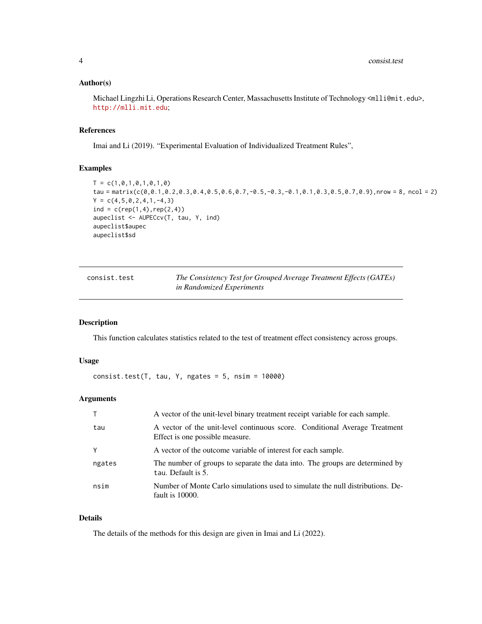#### <span id="page-3-0"></span>Author(s)

Michael Lingzhi Li, Operations Research Center, Massachusetts Institute of Technology <mlli@mit.edu>, <http://mlli.mit.edu>;

#### References

Imai and Li (2019). "Experimental Evaluation of Individualized Treatment Rules",

#### Examples

```
T = c(1, 0, 1, 0, 1, 0, 1, 0)tau = matrix(c(0,0.1,0.2,0.3,0.4,0.5,0.6,0.7,-0.5,-0.3,-0.1,0.1,0.3,0.5,0.7,0.9),nrow = 8, ncol = 2)
Y = c(4, 5, 0, 2, 4, 1, -4, 3)ind = c(rep(1,4), rep(2,4))aupeclist <- AUPECcv(T, tau, Y, ind)
aupeclist$aupec
aupeclist$sd
```

| consist.test | The Consistency Test for Grouped Average Treatment Effects (GATEs) |
|--------------|--------------------------------------------------------------------|
|              | in Randomized Experiments                                          |

#### Description

This function calculates statistics related to the test of treatment effect consistency across groups.

#### Usage

 $consist.test(T, tau, Y, ngates = 5, nsim =  $10000$ )$ 

#### Arguments

|        | A vector of the unit-level binary treatment receipt variable for each sample.                                 |
|--------|---------------------------------------------------------------------------------------------------------------|
| tau    | A vector of the unit-level continuous score. Conditional Average Treatment<br>Effect is one possible measure. |
| Y      | A vector of the outcome variable of interest for each sample.                                                 |
| ngates | The number of groups to separate the data into. The groups are determined by<br>tau. Default is 5.            |
| nsim   | Number of Monte Carlo simulations used to simulate the null distributions. De-<br>fault is 10000.             |

#### Details

The details of the methods for this design are given in Imai and Li (2022).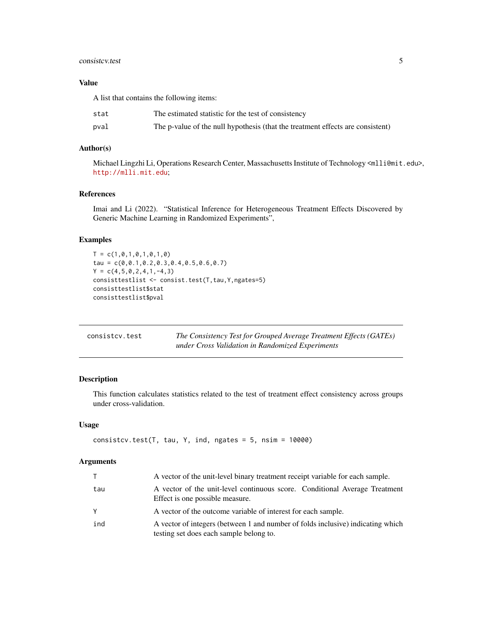#### <span id="page-4-0"></span>consistcv.test 5

#### Value

A list that contains the following items:

| stat | The estimated statistic for the test of consistency                            |
|------|--------------------------------------------------------------------------------|
| pval | The p-value of the null hypothesis (that the treatment effects are consistent) |

#### Author(s)

Michael Lingzhi Li, Operations Research Center, Massachusetts Institute of Technology <mlli@mit.edu>, <http://mlli.mit.edu>;

#### References

Imai and Li (2022). "Statistical Inference for Heterogeneous Treatment Effects Discovered by Generic Machine Learning in Randomized Experiments",

#### Examples

```
T = c(1, 0, 1, 0, 1, 0, 1, 0)tau = c(0,0.1,0.2,0.3,0.4,0.5,0.6,0.7)
Y = c(4, 5, 0, 2, 4, 1, -4, 3)consisttestlist <- consist.test(T,tau,Y,ngates=5)
consisttestlist$stat
consisttestlist$pval
```

| consistcv.test | The Consistency Test for Grouped Average Treatment Effects (GATEs) |
|----------------|--------------------------------------------------------------------|
|                | under Cross Validation in Randomized Experiments                   |

#### Description

This function calculates statistics related to the test of treatment effect consistency across groups under cross-validation.

#### Usage

```
consistcv.test(T, tau, Y, ind, ngates = 5, nsim = 10000)
```
#### Arguments

| T        | A vector of the unit-level binary treatment receipt variable for each sample.                                              |
|----------|----------------------------------------------------------------------------------------------------------------------------|
| tau      | A vector of the unit-level continuous score. Conditional Average Treatment<br>Effect is one possible measure.              |
| <b>Y</b> | A vector of the outcome variable of interest for each sample.                                                              |
| ind      | A vector of integers (between 1 and number of folds inclusive) indicating which<br>testing set does each sample belong to. |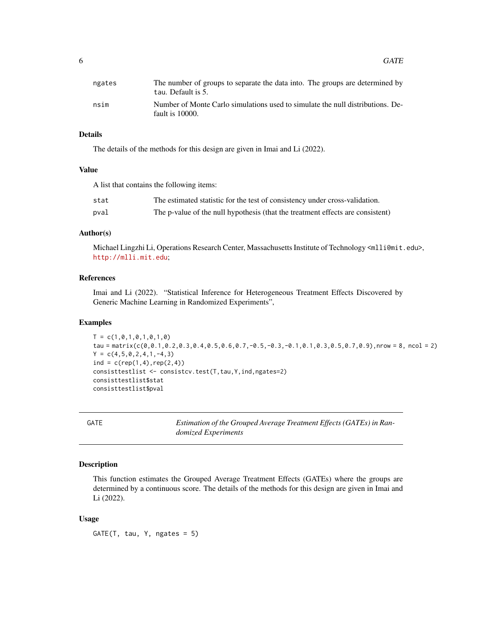<span id="page-5-0"></span>

| ngates | The number of groups to separate the data into. The groups are determined by<br>tau. Default is 5. |
|--------|----------------------------------------------------------------------------------------------------|
| nsim   | Number of Monte Carlo simulations used to simulate the null distributions. De-<br>fault is 10000.  |

#### Details

The details of the methods for this design are given in Imai and Li (2022).

#### Value

A list that contains the following items:

| stat | The estimated statistic for the test of consistency under cross-validation.    |
|------|--------------------------------------------------------------------------------|
| pval | The p-value of the null hypothesis (that the treatment effects are consistent) |

#### Author(s)

Michael Lingzhi Li, Operations Research Center, Massachusetts Institute of Technology <mlli@mit.edu>, <http://mlli.mit.edu>;

#### References

Imai and Li (2022). "Statistical Inference for Heterogeneous Treatment Effects Discovered by Generic Machine Learning in Randomized Experiments",

#### Examples

```
T = c(1, 0, 1, 0, 1, 0, 1, 0)tau = matrix(c(0,0.1,0.2,0.3,0.4,0.5,0.6,0.7,-0.5,-0.3,-0.1,0.1,0.3,0.5,0.7,0.9),nrow = 8, ncol = 2)
Y = c(4, 5, 0, 2, 4, 1, -4, 3)ind = c(rep(1,4), rep(2,4))consisttestlist <- consistcv.test(T,tau,Y,ind,ngates=2)
consisttestlist$stat
consisttestlist$pval
```
GATE *Estimation of the Grouped Average Treatment Effects (GATEs) in Randomized Experiments*

#### Description

This function estimates the Grouped Average Treatment Effects (GATEs) where the groups are determined by a continuous score. The details of the methods for this design are given in Imai and Li (2022).

#### Usage

 $GATE(T, tau, Y, ngates = 5)$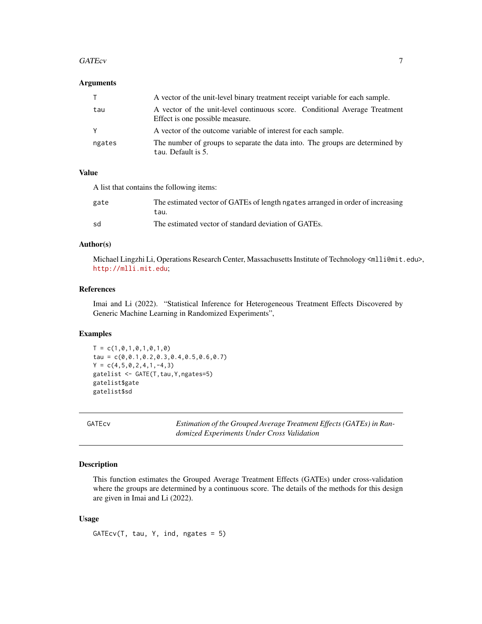#### <span id="page-6-0"></span>GATEcv<sup>7</sup>

#### **Arguments**

| T.     | A vector of the unit-level binary treatment receipt variable for each sample.                                 |
|--------|---------------------------------------------------------------------------------------------------------------|
| tau    | A vector of the unit-level continuous score. Conditional Average Treatment<br>Effect is one possible measure. |
| Y      | A vector of the outcome variable of interest for each sample.                                                 |
| ngates | The number of groups to separate the data into. The groups are determined by<br>tau. Default is 5.            |

#### Value

A list that contains the following items:

| gate | The estimated vector of GATEs of length ngates arranged in order of increasing<br>tau. |
|------|----------------------------------------------------------------------------------------|
| sd   | The estimated vector of standard deviation of GATEs.                                   |

#### Author(s)

Michael Lingzhi Li, Operations Research Center, Massachusetts Institute of Technology <mlli@mit.edu>, <http://mlli.mit.edu>;

#### References

Imai and Li (2022). "Statistical Inference for Heterogeneous Treatment Effects Discovered by Generic Machine Learning in Randomized Experiments",

#### Examples

 $T = c(1, 0, 1, 0, 1, 0, 1, 0)$ tau = c(0,0.1,0.2,0.3,0.4,0.5,0.6,0.7)  $Y = c(4, 5, 0, 2, 4, 1, -4, 3)$ gatelist <- GATE(T,tau,Y,ngates=5) gatelist\$gate gatelist\$sd

GATEcv *Estimation of the Grouped Average Treatment Effects (GATEs) in Randomized Experiments Under Cross Validation*

#### Description

This function estimates the Grouped Average Treatment Effects (GATEs) under cross-validation where the groups are determined by a continuous score. The details of the methods for this design are given in Imai and Li (2022).

#### Usage

 $GATEcv(T, tau, Y, ind, ngates = 5)$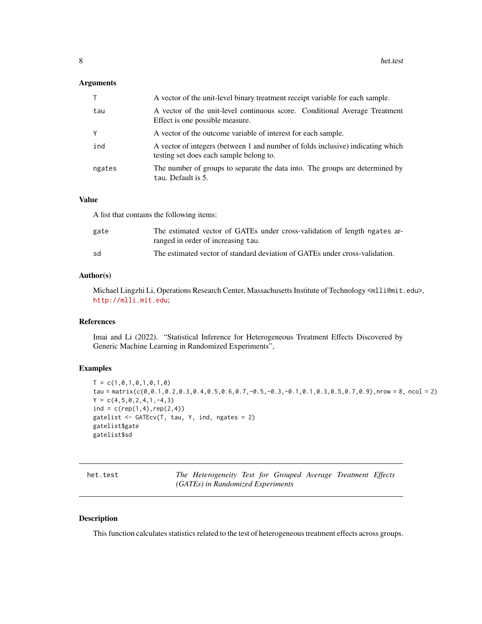#### <span id="page-7-0"></span>Arguments

| $\top$ | A vector of the unit-level binary treatment receipt variable for each sample.                                              |
|--------|----------------------------------------------------------------------------------------------------------------------------|
| tau    | A vector of the unit-level continuous score. Conditional Average Treatment<br>Effect is one possible measure.              |
| Y      | A vector of the outcome variable of interest for each sample.                                                              |
| ind    | A vector of integers (between 1 and number of folds inclusive) indicating which<br>testing set does each sample belong to. |
| ngates | The number of groups to separate the data into. The groups are determined by<br>tau. Default is 5.                         |

#### Value

A list that contains the following items:

| gate | The estimated vector of GATEs under cross-validation of length ngates ar-<br>ranged in order of increasing tau. |
|------|-----------------------------------------------------------------------------------------------------------------|
| sd   | The estimated vector of standard deviation of GATEs under cross-validation.                                     |

#### Author(s)

Michael Lingzhi Li, Operations Research Center, Massachusetts Institute of Technology <ml1i@mit.edu>, <http://mlli.mit.edu>;

#### References

Imai and Li (2022). "Statistical Inference for Heterogeneous Treatment Effects Discovered by Generic Machine Learning in Randomized Experiments",

#### Examples

```
T = c(1, 0, 1, 0, 1, 0, 1, 0)tau = matrix(c(0,0.1,0.2,0.3,0.4,0.5,0.6,0.7,-0.5,-0.3,-0.1,0.1,0.3,0.5,0.7,0.9),nrow = 8, ncol = 2)
Y = c(4, 5, 0, 2, 4, 1, -4, 3)ind = c(rep(1,4), rep(2,4))gatelist <- GATEcv(T, tau, Y, ind, ngates = 2)
gatelist$gate
gatelist$sd
```

| het.test | The Heterogeneity Test for Grouped Average Treatment Effects |  |  |  |
|----------|--------------------------------------------------------------|--|--|--|
|          | (GATEs) in Randomized Experiments                            |  |  |  |

#### Description

This function calculates statistics related to the test of heterogeneous treatment effects across groups.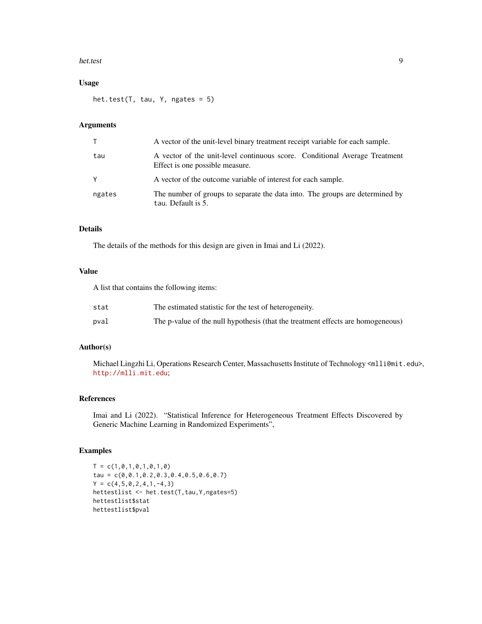#### het.test 9

#### Usage

het.test(T, tau, Y, ngates = 5)

#### Arguments

| T.     | A vector of the unit-level binary treatment receipt variable for each sample.                                 |
|--------|---------------------------------------------------------------------------------------------------------------|
| tau    | A vector of the unit-level continuous score. Conditional Average Treatment<br>Effect is one possible measure. |
| Y      | A vector of the outcome variable of interest for each sample.                                                 |
| ngates | The number of groups to separate the data into. The groups are determined by<br>tau. Default is 5.            |

#### Details

The details of the methods for this design are given in Imai and Li (2022).

#### Value

A list that contains the following items:

| stat | The estimated statistic for the test of heterogeneity.                          |
|------|---------------------------------------------------------------------------------|
| pval | The p-value of the null hypothesis (that the treatment effects are homogeneous) |

#### Author(s)

Michael Lingzhi Li, Operations Research Center, Massachusetts Institute of Technology <mlli@mit.edu>, <http://mlli.mit.edu>;

#### References

Imai and Li (2022). "Statistical Inference for Heterogeneous Treatment Effects Discovered by Generic Machine Learning in Randomized Experiments",

```
T = c(1, 0, 1, 0, 1, 0, 1, 0)tau = c(0,0.1,0.2,0.3,0.4,0.5,0.6,0.7)
Y = c(4, 5, 0, 2, 4, 1, -4, 3)hettestlist <- het.test(T,tau,Y,ngates=5)
hettestlist$stat
hettestlist$pval
```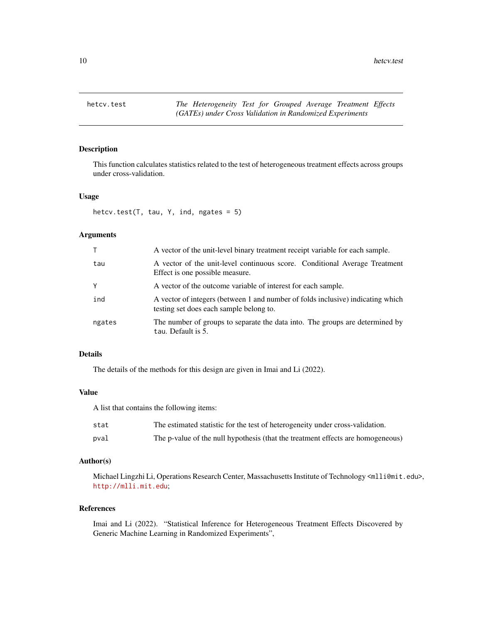<span id="page-9-0"></span>

#### Description

This function calculates statistics related to the test of heterogeneous treatment effects across groups under cross-validation.

#### Usage

hetcv.test(T, tau, Y, ind, ngates =  $5$ )

#### Arguments

| T.     | A vector of the unit-level binary treatment receipt variable for each sample.                                              |
|--------|----------------------------------------------------------------------------------------------------------------------------|
| tau    | A vector of the unit-level continuous score. Conditional Average Treatment<br>Effect is one possible measure.              |
| Υ      | A vector of the outcome variable of interest for each sample.                                                              |
| ind    | A vector of integers (between 1 and number of folds inclusive) indicating which<br>testing set does each sample belong to. |
| ngates | The number of groups to separate the data into. The groups are determined by<br>tau. Default is 5.                         |

#### Details

The details of the methods for this design are given in Imai and Li (2022).

#### Value

A list that contains the following items:

| stat | The estimated statistic for the test of heterogeneity under cross-validation.   |
|------|---------------------------------------------------------------------------------|
| pval | The p-value of the null hypothesis (that the treatment effects are homogeneous) |

#### Author(s)

Michael Lingzhi Li, Operations Research Center, Massachusetts Institute of Technology <mlli@mit.edu>, <http://mlli.mit.edu>;

#### References

Imai and Li (2022). "Statistical Inference for Heterogeneous Treatment Effects Discovered by Generic Machine Learning in Randomized Experiments",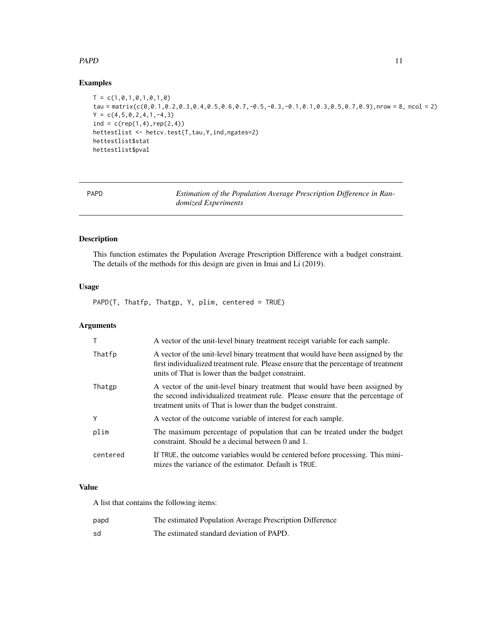#### <span id="page-10-0"></span> $PAPD$  11

#### Examples

```
T = c(1, 0, 1, 0, 1, 0, 1, 0)tau = matrix(c(0,0.1,0.2,0.3,0.4,0.5,0.6,0.7,-0.5,-0.3,-0.1,0.1,0.3,0.5,0.7,0.9),nrow = 8, ncol = 2)
Y = c(4, 5, 0, 2, 4, 1, -4, 3)ind = c(rep(1,4),rep(2,4))hettestlist <- hetcv.test(T,tau,Y,ind,ngates=2)
hettestlist$stat
hettestlist$pval
```
PAPD *Estimation of the Population Average Prescription Difference in Randomized Experiments*

#### Description

This function estimates the Population Average Prescription Difference with a budget constraint. The details of the methods for this design are given in Imai and Li (2019).

#### Usage

PAPD(T, Thatfp, Thatgp, Y, plim, centered = TRUE)

#### Arguments

|          | A vector of the unit-level binary treatment receipt variable for each sample.                                                                                                                                                  |
|----------|--------------------------------------------------------------------------------------------------------------------------------------------------------------------------------------------------------------------------------|
| Thatfp   | A vector of the unit-level binary treatment that would have been assigned by the<br>first individualized treatment rule. Please ensure that the percentage of treatment<br>units of That is lower than the budget constraint.  |
| Thatgp   | A vector of the unit-level binary treatment that would have been assigned by<br>the second individualized treatment rule. Please ensure that the percentage of<br>treatment units of That is lower than the budget constraint. |
| Υ        | A vector of the outcome variable of interest for each sample.                                                                                                                                                                  |
| plim     | The maximum percentage of population that can be treated under the budget<br>constraint. Should be a decimal between 0 and 1.                                                                                                  |
| centered | If TRUE, the outcome variables would be centered before processing. This mini-<br>mizes the variance of the estimator. Default is TRUE.                                                                                        |

#### Value

A list that contains the following items:

| papd | The estimated Population Average Prescription Difference |
|------|----------------------------------------------------------|
| sd   | The estimated standard deviation of PAPD.                |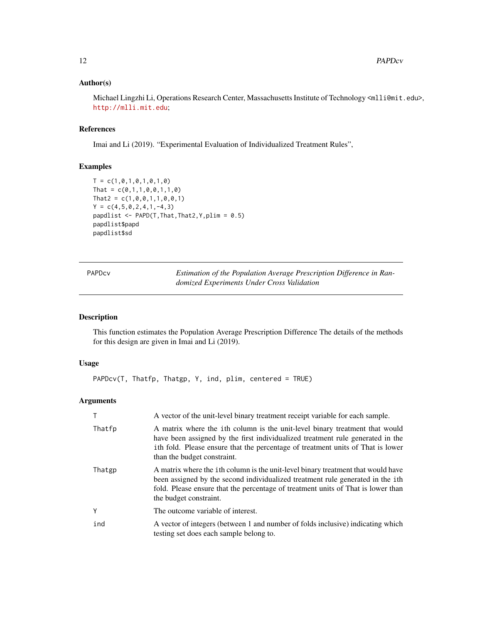#### <span id="page-11-0"></span>Author(s)

Michael Lingzhi Li, Operations Research Center, Massachusetts Institute of Technology <mlli@mit.edu>, <http://mlli.mit.edu>;

#### References

Imai and Li (2019). "Experimental Evaluation of Individualized Treatment Rules",

#### Examples

```
T = c(1, 0, 1, 0, 1, 0, 1, 0)That = c(0,1,1,0,0,1,1,0)That2 = c(1, 0, 0, 1, 1, 0, 0, 1)Y = c(4, 5, 0, 2, 4, 1, -4, 3)papdlist \leq PAPD(T, That, That2, Y, plim = 0.5)
papdlist$papd
papdlist$sd
```

| PAPDcv | Estimation of the Population Average Prescription Difference in Ran- |
|--------|----------------------------------------------------------------------|
|        | domized Experiments Under Cross Validation                           |

#### Description

This function estimates the Population Average Prescription Difference The details of the methods for this design are given in Imai and Li (2019).

#### Usage

PAPDcv(T, Thatfp, Thatgp, Y, ind, plim, centered = TRUE)

#### Arguments

| T      | A vector of the unit-level binary treatment receipt variable for each sample.                                                                                                                                                                                                    |
|--------|----------------------------------------------------------------------------------------------------------------------------------------------------------------------------------------------------------------------------------------------------------------------------------|
| Thatfp | A matrix where the ith column is the unit-level binary treatment that would<br>have been assigned by the first individualized treatment rule generated in the<br>ith fold. Please ensure that the percentage of treatment units of That is lower<br>than the budget constraint.  |
| Thatgp | A matrix where the ith column is the unit-level binary treatment that would have<br>been assigned by the second individualized treatment rule generated in the ith<br>fold. Please ensure that the percentage of treatment units of That is lower than<br>the budget constraint. |
| Υ      | The outcome variable of interest.                                                                                                                                                                                                                                                |
| ind    | A vector of integers (between 1 and number of folds inclusive) indicating which<br>testing set does each sample belong to.                                                                                                                                                       |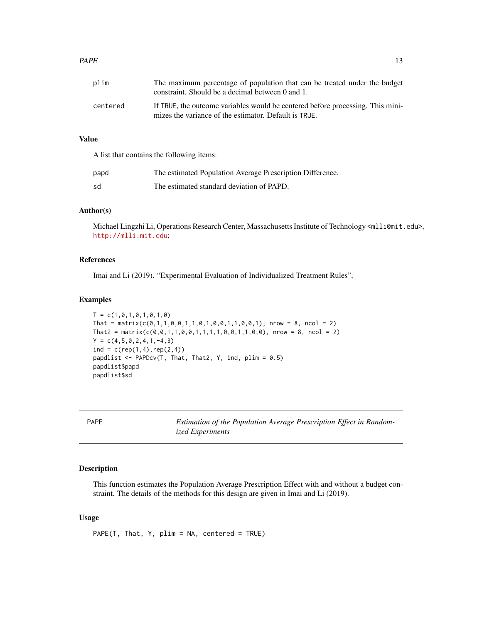#### <span id="page-12-0"></span> $P_{A}$ PAPE  $\qquad \qquad$  13

| plim     | The maximum percentage of population that can be treated under the budget<br>constraint. Should be a decimal between 0 and 1.           |
|----------|-----------------------------------------------------------------------------------------------------------------------------------------|
| centered | If TRUE, the outcome variables would be centered before processing. This mini-<br>mizes the variance of the estimator. Default is TRUE. |

#### Value

A list that contains the following items:

| papd | The estimated Population Average Prescription Difference. |
|------|-----------------------------------------------------------|
| sd   | The estimated standard deviation of PAPD.                 |

#### Author(s)

Michael Lingzhi Li, Operations Research Center, Massachusetts Institute of Technology <ml1i@mit.edu>, <http://mlli.mit.edu>;

#### References

Imai and Li (2019). "Experimental Evaluation of Individualized Treatment Rules",

#### Examples

```
T = c(1, 0, 1, 0, 1, 0, 1, 0)That = matrix(c(0,1,1,0,0,1,1,0,1,0,0,1,1,0,0,1), nrow = 8, ncol = 2)
That2 = matrix(c(0,0,1,1,0,0,1,1,1,1,0,0,1,1,0,0), nrow = 8, ncol = 2)
Y = c(4, 5, 0, 2, 4, 1, -4, 3)ind = c(rep(1,4), rep(2,4))papdlist \leq PAPDcv(T, That, That2, Y, ind, plim = 0.5)
papdlist$papd
papdlist$sd
```
PAPE *Estimation of the Population Average Prescription Effect in Randomized Experiments*

#### Description

This function estimates the Population Average Prescription Effect with and without a budget constraint. The details of the methods for this design are given in Imai and Li (2019).

#### Usage

PAPE(T, That, Y, plim = NA, centered = TRUE)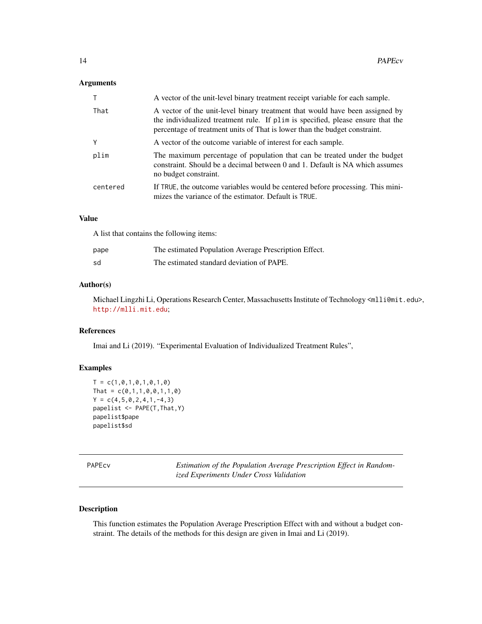#### <span id="page-13-0"></span>Arguments

|          | A vector of the unit-level binary treatment receipt variable for each sample.                                                                                                                                                                 |
|----------|-----------------------------------------------------------------------------------------------------------------------------------------------------------------------------------------------------------------------------------------------|
| That     | A vector of the unit-level binary treatment that would have been assigned by<br>the individualized treatment rule. If plim is specified, please ensure that the<br>percentage of treatment units of That is lower than the budget constraint. |
| Υ        | A vector of the outcome variable of interest for each sample.                                                                                                                                                                                 |
| plim     | The maximum percentage of population that can be treated under the budget<br>constraint. Should be a decimal between 0 and 1. Default is NA which assumes<br>no budget constraint.                                                            |
| centered | If TRUE, the outcome variables would be centered before processing. This mini-<br>mizes the variance of the estimator. Default is TRUE.                                                                                                       |

#### Value

A list that contains the following items:

| pape | The estimated Population Average Prescription Effect. |
|------|-------------------------------------------------------|
| sd   | The estimated standard deviation of PAPE.             |

#### Author(s)

Michael Lingzhi Li, Operations Research Center, Massachusetts Institute of Technology <ml1i@mit.edu>, <http://mlli.mit.edu>;

#### References

Imai and Li (2019). "Experimental Evaluation of Individualized Treatment Rules",

#### Examples

```
T = c(1, 0, 1, 0, 1, 0, 1, 0)That = c(0,1,1,0,0,1,1,0)Y = c(4, 5, 0, 2, 4, 1, -4, 3)papelist <- PAPE(T,That,Y)
papelist$pape
papelist$sd
```

| PAPE |  |
|------|--|

Estimation of the Population Average Prescription Effect in Random*ized Experiments Under Cross Validation*

#### Description

This function estimates the Population Average Prescription Effect with and without a budget constraint. The details of the methods for this design are given in Imai and Li (2019).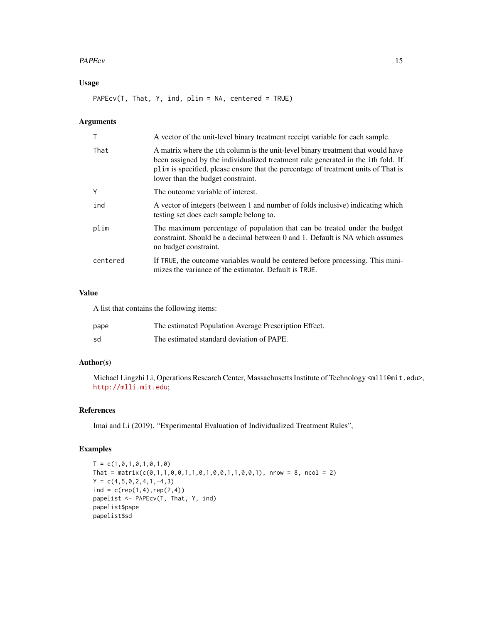#### PAPEcv 15

#### Usage

PAPEcv(T, That, Y, ind, plim = NA, centered = TRUE)

#### Arguments

|          | A vector of the unit-level binary treatment receipt variable for each sample.                                                                                                                                                                                                                           |
|----------|---------------------------------------------------------------------------------------------------------------------------------------------------------------------------------------------------------------------------------------------------------------------------------------------------------|
| That     | A matrix where the ith column is the unit-level binary treatment that would have<br>been assigned by the individualized treatment rule generated in the <i>i</i> th fold. If<br>plim is specified, please ensure that the percentage of treatment units of That is<br>lower than the budget constraint. |
| Y        | The outcome variable of interest.                                                                                                                                                                                                                                                                       |
| ind      | A vector of integers (between 1 and number of folds inclusive) indicating which<br>testing set does each sample belong to.                                                                                                                                                                              |
| plim     | The maximum percentage of population that can be treated under the budget<br>constraint. Should be a decimal between 0 and 1. Default is NA which assumes<br>no budget constraint.                                                                                                                      |
| centered | If TRUE, the outcome variables would be centered before processing. This mini-<br>mizes the variance of the estimator. Default is TRUE.                                                                                                                                                                 |

#### Value

A list that contains the following items:

| pape | The estimated Population Average Prescription Effect. |
|------|-------------------------------------------------------|
| sd   | The estimated standard deviation of PAPE.             |

#### Author(s)

Michael Lingzhi Li, Operations Research Center, Massachusetts Institute of Technology <mlli@mit.edu>, <http://mlli.mit.edu>;

#### References

Imai and Li (2019). "Experimental Evaluation of Individualized Treatment Rules",

```
T = c(1, 0, 1, 0, 1, 0, 1, 0)That = matrix(c(0,1,1,0,0,1,1,0,1,0,0,1,1,0,0,1), nrow = 8, ncol = 2)
Y = c(4, 5, 0, 2, 4, 1, -4, 3)ind = c(rep(1,4),rep(2,4))papelist <- PAPEcv(T, That, Y, ind)
papelist$pape
papelist$sd
```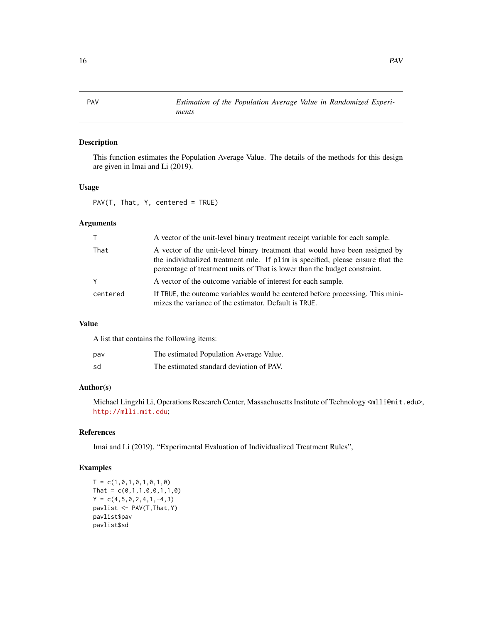#### Description

This function estimates the Population Average Value. The details of the methods for this design are given in Imai and Li (2019).

#### Usage

PAV(T, That, Y, centered = TRUE)

#### Arguments

| $\top$   | A vector of the unit-level binary treatment receipt variable for each sample.                                                                                                                                                                 |
|----------|-----------------------------------------------------------------------------------------------------------------------------------------------------------------------------------------------------------------------------------------------|
| That     | A vector of the unit-level binary treatment that would have been assigned by<br>the individualized treatment rule. If plim is specified, please ensure that the<br>percentage of treatment units of That is lower than the budget constraint. |
| Y        | A vector of the outcome variable of interest for each sample.                                                                                                                                                                                 |
| centered | If TRUE, the outcome variables would be centered before processing. This mini-<br>mizes the variance of the estimator. Default is TRUE.                                                                                                       |

#### Value

A list that contains the following items:

| pav | The estimated Population Average Value.  |
|-----|------------------------------------------|
| sd  | The estimated standard deviation of PAV. |

#### Author(s)

Michael Lingzhi Li, Operations Research Center, Massachusetts Institute of Technology <mlli@mit.edu>, <http://mlli.mit.edu>;

#### References

Imai and Li (2019). "Experimental Evaluation of Individualized Treatment Rules",

```
T = c(1, 0, 1, 0, 1, 0, 1, 0)That = c(0,1,1,0,0,1,1,0)Y = c(4, 5, 0, 2, 4, 1, -4, 3)pavlist <- PAV(T,That,Y)
pavlist$pav
pavlist$sd
```
<span id="page-15-0"></span>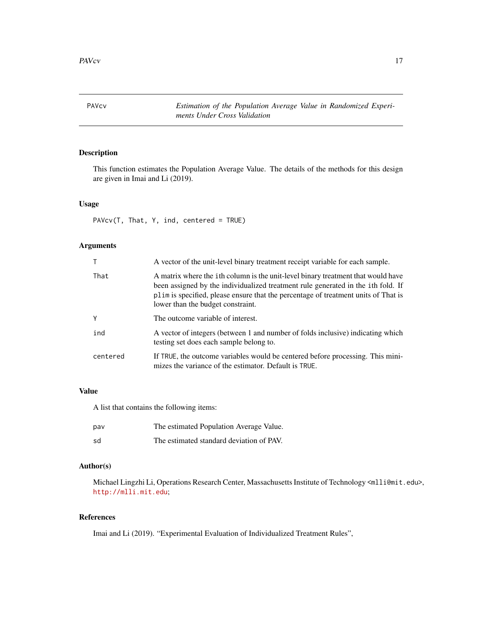<span id="page-16-0"></span>PAVcv *Estimation of the Population Average Value in Randomized Experiments Under Cross Validation*

#### Description

This function estimates the Population Average Value. The details of the methods for this design are given in Imai and Li (2019).

#### Usage

PAVcv(T, That, Y, ind, centered = TRUE)

#### Arguments

|          | A vector of the unit-level binary treatment receipt variable for each sample.                                                                                                                                                                                                                           |
|----------|---------------------------------------------------------------------------------------------------------------------------------------------------------------------------------------------------------------------------------------------------------------------------------------------------------|
| That     | A matrix where the ith column is the unit-level binary treatment that would have<br>been assigned by the individualized treatment rule generated in the <i>i</i> th fold. If<br>plim is specified, please ensure that the percentage of treatment units of That is<br>lower than the budget constraint. |
| Y        | The outcome variable of interest.                                                                                                                                                                                                                                                                       |
| ind      | A vector of integers (between 1 and number of folds inclusive) indicating which<br>testing set does each sample belong to.                                                                                                                                                                              |
| centered | If TRUE, the outcome variables would be centered before processing. This mini-<br>mizes the variance of the estimator. Default is TRUE.                                                                                                                                                                 |

#### Value

A list that contains the following items:

| pav | The estimated Population Average Value.  |
|-----|------------------------------------------|
| sd  | The estimated standard deviation of PAV. |

#### Author(s)

Michael Lingzhi Li, Operations Research Center, Massachusetts Institute of Technology <mlli@mit.edu>, <http://mlli.mit.edu>;

#### References

Imai and Li (2019). "Experimental Evaluation of Individualized Treatment Rules",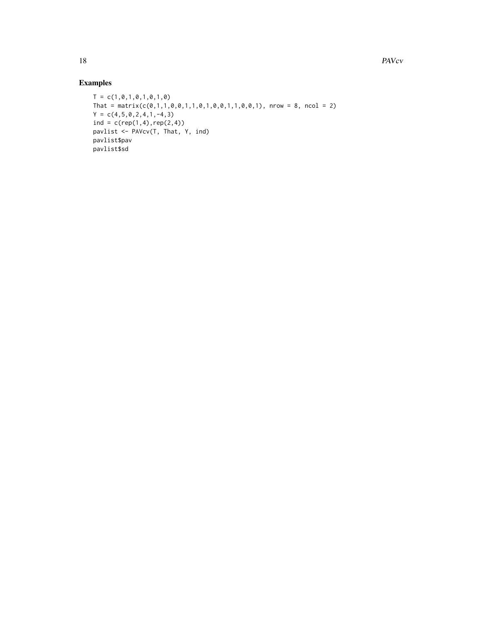```
T = c(1, 0, 1, 0, 1, 0, 1, 0)That = matrix(c(\emptyset,1,1,\emptyset,\emptyset,1,1,\emptyset,1,0,\emptyset,1,1,\emptyset,\emptyset,1)), nrow = 8, ncol = 2)
Y = c(4, 5, 0, 2, 4, 1, -4, 3)ind = c(rep(1,4),rep(2,4))pavlist <- PAVcv(T, That, Y, ind)
pavlist$pav
pavlist$sd
```